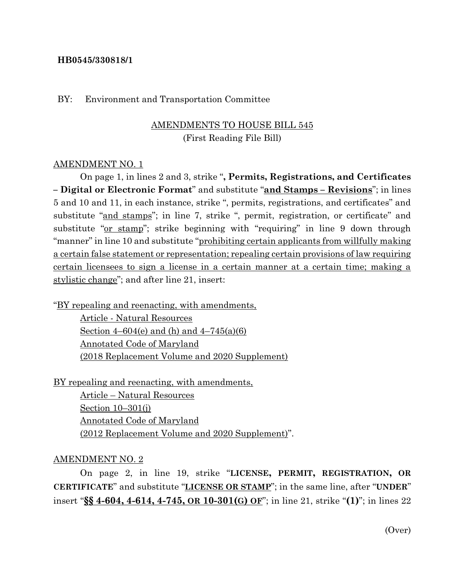### **HB0545/330818/1**

#### BY: Environment and Transportation Committee

## AMENDMENTS TO HOUSE BILL 545 (First Reading File Bill)

#### AMENDMENT NO. 1

On page 1, in lines 2 and 3, strike "**, Permits, Registrations, and Certificates – Digital or Electronic Format**" and substitute "**and Stamps – Revisions**"; in lines 5 and 10 and 11, in each instance, strike ", permits, registrations, and certificates" and substitute "and stamps"; in line 7, strike ", permit, registration, or certificate" and substitute "or stamp"; strike beginning with "requiring" in line 9 down through "manner" in line 10 and substitute "prohibiting certain applicants from willfully making a certain false statement or representation; repealing certain provisions of law requiring certain licensees to sign a license in a certain manner at a certain time; making a stylistic change"; and after line 21, insert:

"BY repealing and reenacting, with amendments,

Article - Natural Resources Section 4–604(e) and (h) and  $4-745(a)(6)$ Annotated Code of Maryland (2018 Replacement Volume and 2020 Supplement)

BY repealing and reenacting, with amendments,

Article – Natural Resources Section 10–301(j) Annotated Code of Maryland (2012 Replacement Volume and 2020 Supplement)".

#### AMENDMENT NO. 2

On page 2, in line 19, strike "**LICENSE, PERMIT, REGISTRATION, OR CERTIFICATE**" and substitute "**LICENSE OR STAMP**"; in the same line, after "**UNDER**" insert "**§§ 4-604, 4-614, 4-745, OR 10-301(G) OF**"; in line 21, strike "**(1)**"; in lines 22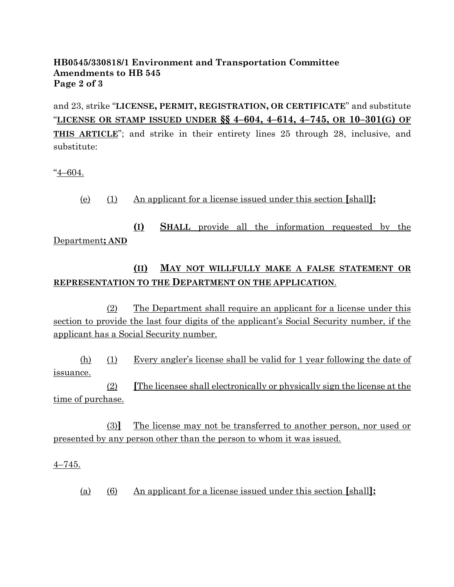## **HB0545/330818/1 Environment and Transportation Committee Amendments to HB 545 Page 2 of 3**

and 23, strike "**LICENSE, PERMIT, REGISTRATION, OR CERTIFICATE**" and substitute "**LICENSE OR STAMP ISSUED UNDER §§ 4–604, 4–614, 4–745, OR 10–301(G) OF THIS ARTICLE**"; and strike in their entirety lines 25 through 28, inclusive, and substitute:

"4–604.

(e) (1) An applicant for a license issued under this section **[**shall**]:**

**(I) SHALL** provide all the information requested by the Department**; AND**

# **(II) MAY NOT WILLFULLY MAKE A FALSE STATEMENT OR REPRESENTATION TO THE DEPARTMENT ON THE APPLICATION**.

(2) The Department shall require an applicant for a license under this section to provide the last four digits of the applicant's Social Security number, if the applicant has a Social Security number.

(h) (1) Every angler's license shall be valid for 1 year following the date of issuance.

(2) **[**The licensee shall electronically or physically sign the license at the time of purchase.

(3)**]** The license may not be transferred to another person, nor used or presented by any person other than the person to whom it was issued.

4–745.

(a) (6) An applicant for a license issued under this section **[**shall**]:**